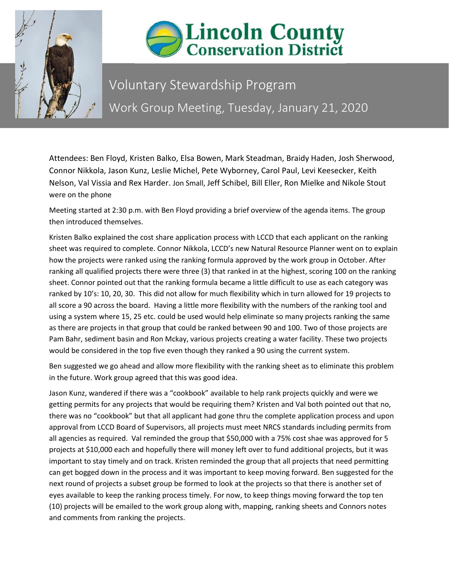



## Voluntary Stewardship Program Work Group Meeting, Tuesday, January 21, 2020

Attendees: Ben Floyd, Kristen Balko, Elsa Bowen, Mark Steadman, Braidy Haden, Josh Sherwood, Connor Nikkola, Jason Kunz, Leslie Michel, Pete Wyborney, Carol Paul, Levi Keesecker, Keith Nelson, Val Vissia and Rex Harder. Jon Small, Jeff Schibel, Bill Eller, Ron Mielke and Nikole Stout were on the phone

Meeting started at 2:30 p.m. with Ben Floyd providing a brief overview of the agenda items. The group then introduced themselves.

Kristen Balko explained the cost share application process with LCCD that each applicant on the ranking sheet was required to complete. Connor Nikkola, LCCD's new Natural Resource Planner went on to explain how the projects were ranked using the ranking formula approved by the work group in October. After ranking all qualified projects there were three (3) that ranked in at the highest, scoring 100 on the ranking sheet. Connor pointed out that the ranking formula became a little difficult to use as each category was ranked by 10's: 10, 20, 30. This did not allow for much flexibility which in turn allowed for 19 projects to all score a 90 across the board. Having a little more flexibility with the numbers of the ranking tool and using a system where 15, 25 etc. could be used would help eliminate so many projects ranking the same as there are projects in that group that could be ranked between 90 and 100. Two of those projects are Pam Bahr, sediment basin and Ron Mckay, various projects creating a water facility. These two projects would be considered in the top five even though they ranked a 90 using the current system.

Ben suggested we go ahead and allow more flexibility with the ranking sheet as to eliminate this problem in the future. Work group agreed that this was good idea.

Jason Kunz, wandered if there was a "cookbook" available to help rank projects quickly and were we getting permits for any projects that would be requiring them? Kristen and Val both pointed out that no, there was no "cookbook" but that all applicant had gone thru the complete application process and upon approval from LCCD Board of Supervisors, all projects must meet NRCS standards including permits from all agencies as required. Val reminded the group that \$50,000 with a 75% cost shae was approved for 5 projects at \$10,000 each and hopefully there will money left over to fund additional projects, but it was important to stay timely and on track. Kristen reminded the group that all projects that need permitting can get bogged down in the process and it was important to keep moving forward. Ben suggested for the next round of projects a subset group be formed to look at the projects so that there is another set of eyes available to keep the ranking process timely. For now, to keep things moving forward the top ten (10) projects will be emailed to the work group along with, mapping, ranking sheets and Connors notes and comments from ranking the projects.